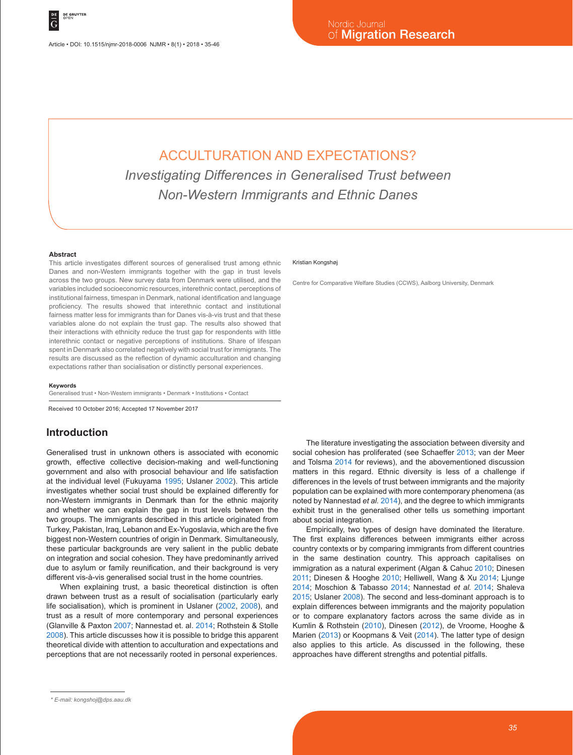Article • DOI: 10.1515/njmr-2018-0006 NJMR • 8(1) • 2018 • 35-46

# ACCULTURATION AND EXPECTATIONS? *Investigating Differences in Generalised Trust between Non-Western Immigrants and Ethnic Danes*

#### **Abstract**

This article investigates different sources of generalised trust among ethnic Danes and non-Western immigrants together with the gap in trust levels across the two groups. New survey data from Denmark were utilised, and the variables included socioeconomic resources, interethnic contact, perceptions of institutional fairness, timespan in Denmark, national identification and language proficiency. The results showed that interethnic contact and institutional fairness matter less for immigrants than for Danes vis-à-vis trust and that these variables alone do not explain the trust gap. The results also showed that their interactions with ethnicity reduce the trust gap for respondents with little interethnic contact or negative perceptions of institutions. Share of lifespan spent in Denmark also correlated negatively with social trust for immigrants. The results are discussed as the reflection of dynamic acculturation and changing expectations rather than socialisation or distinctly personal experiences.

**Keywords**

Generalised trust • Non-Western immigrants • Denmark • Institutions • Contact

Received 10 October 2016; Accepted 17 November 2017

### **Introduction**

Generalised trust in unknown others is associated with economic growth, effective collective decision-making and well-functioning government and also with prosocial behaviour and life satisfaction at the individual level (Fukuyama 1995; Uslaner 2002). This article investigates whether social trust should be explained differently for non-Western immigrants in Denmark than for the ethnic majority and whether we can explain the gap in trust levels between the two groups. The immigrants described in this article originated from Turkey, Pakistan, Iraq, Lebanon and Ex-Yugoslavia, which are the five biggest non-Western countries of origin in Denmark. Simultaneously, these particular backgrounds are very salient in the public debate on integration and social cohesion. They have predominantly arrived due to asylum or family reunification, and their background is very different vis-à-vis generalised social trust in the home countries.

When explaining trust, a basic theoretical distinction is often drawn between trust as a result of socialisation (particularly early life socialisation), which is prominent in Uslaner (2002, 2008), and trust as a result of more contemporary and personal experiences (Glanville & Paxton 2007; Nannestad et. al. 2014; Rothstein & Stolle 2008). This article discusses how it is possible to bridge this apparent theoretical divide with attention to acculturation and expectations and perceptions that are not necessarily rooted in personal experiences.

#### Kristian Kongshøj

Centre for Comparative Welfare Studies (CCWS), Aalborg University, Denmark

The literature investigating the association between diversity and social cohesion has proliferated (see Schaeffer 2013; van der Meer and Tolsma 2014 for reviews), and the abovementioned discussion matters in this regard. Ethnic diversity is less of a challenge if differences in the levels of trust between immigrants and the majority population can be explained with more contemporary phenomena (as noted by Nannestad *et al.* 2014), and the degree to which immigrants exhibit trust in the generalised other tells us something important about social integration.

Empirically, two types of design have dominated the literature. The first explains differences between immigrants either across country contexts or by comparing immigrants from different countries in the same destination country. This approach capitalises on immigration as a natural experiment (Algan & Cahuc 2010; Dinesen 2011; Dinesen & Hooghe 2010; Helliwell, Wang & Xu 2014; Ljunge 2014; Moschion & Tabasso 2014; Nannestad *et al.* 2014; Shaleva 2015; Uslaner 2008). The second and less-dominant approach is to explain differences between immigrants and the majority population or to compare explanatory factors across the same divide as in Kumlin & Rothstein (2010), Dinesen (2012), de Vroome, Hooghe & Marien (2013) or Koopmans & Veit (2014). The latter type of design also applies to this article. As discussed in the following, these approaches have different strengths and potential pitfalls.

*<sup>\*</sup> E-mail: kongshoj@dps.aau.dk*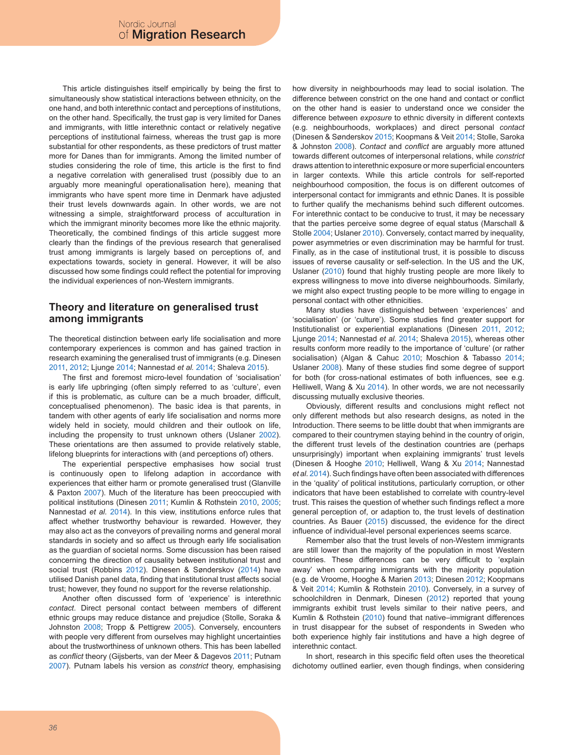This article distinguishes itself empirically by being the first to simultaneously show statistical interactions between ethnicity, on the one hand, and both interethnic contact and perceptions of institutions, on the other hand. Specifically, the trust gap is very limited for Danes and immigrants, with little interethnic contact or relatively negative perceptions of institutional fairness, whereas the trust gap is more substantial for other respondents, as these predictors of trust matter more for Danes than for immigrants. Among the limited number of studies considering the role of time, this article is the first to find a negative correlation with generalised trust (possibly due to an arguably more meaningful operationalisation here), meaning that immigrants who have spent more time in Denmark have adjusted their trust levels downwards again. In other words, we are not witnessing a simple, straightforward process of acculturation in which the immigrant minority becomes more like the ethnic majority. Theoretically, the combined findings of this article suggest more clearly than the findings of the previous research that generalised trust among immigrants is largely based on perceptions of, and expectations towards, society in general. However, it will be also discussed how some findings could reflect the potential for improving the individual experiences of non-Western immigrants.

### **Theory and literature on generalised trust among immigrants**

The theoretical distinction between early life socialisation and more contemporary experiences is common and has gained traction in research examining the generalised trust of immigrants (e.g. Dinesen 2011, 2012; Ljunge 2014; Nannestad *et al.* 2014; Shaleva 2015).

The first and foremost micro-level foundation of 'socialisation' is early life upbringing (often simply referred to as 'culture', even if this is problematic, as culture can be a much broader, difficult, conceptualised phenomenon). The basic idea is that parents, in tandem with other agents of early life socialisation and norms more widely held in society, mould children and their outlook on life, including the propensity to trust unknown others (Uslaner 2002). These orientations are then assumed to provide relatively stable, lifelong blueprints for interactions with (and perceptions of) others.

The experiential perspective emphasises how social trust is continuously open to lifelong adaption in accordance with experiences that either harm or promote generalised trust (Glanville & Paxton 2007). Much of the literature has been preoccupied with political institutions (Dinesen 2011; Kumlin & Rothstein 2010, 2005; Nannestad *et al.* 2014). In this view, institutions enforce rules that affect whether trustworthy behaviour is rewarded. However, they may also act as the conveyors of prevailing norms and general moral standards in society and so affect us through early life socialisation as the guardian of societal norms. Some discussion has been raised concerning the direction of causality between institutional trust and social trust (Robbins 2012). Dinesen & Sønderskov (2014) have utilised Danish panel data, finding that institutional trust affects social trust; however, they found no support for the reverse relationship.

Another often discussed form of 'experience' is interethnic *contact*. Direct personal contact between members of different ethnic groups may reduce distance and prejudice (Stolle, Soraka & Johnston 2008; Tropp & Pettigrew 2005). Conversely, encounters with people very different from ourselves may highlight uncertainties about the trustworthiness of unknown others. This has been labelled as *conflict* theory (Gijsberts, van der Meer & Dagevos 2011; Putnam 2007). Putnam labels his version as *constrict* theory, emphasising

how diversity in neighbourhoods may lead to social isolation. The difference between constrict on the one hand and contact or conflict on the other hand is easier to understand once we consider the difference between *exposure* to ethnic diversity in different contexts (e.g. neighbourhoods, workplaces) and direct personal *contact* (Dinesen & Sønderskov 2015; Koopmans & Veit 2014; Stolle, Saroka & Johnston 2008). *Contact* and *conflict* are arguably more attuned towards different outcomes of interpersonal relations, while *constrict* draws attention to interethnic exposure or more superficial encounters in larger contexts. While this article controls for self-reported neighbourhood composition, the focus is on different outcomes of interpersonal contact for immigrants and ethnic Danes. It is possible to further qualify the mechanisms behind such different outcomes. For interethnic contact to be conducive to trust, it may be necessary that the parties perceive some degree of equal status (Marschall & Stolle 2004; Uslaner 2010). Conversely, contact marred by inequality, power asymmetries or even discrimination may be harmful for trust. Finally, as in the case of institutional trust, it is possible to discuss issues of reverse causality or self-selection. In the US and the UK, Uslaner (2010) found that highly trusting people are more likely to express willingness to move into diverse neighbourhoods. Similarly, we might also expect trusting people to be more willing to engage in personal contact with other ethnicities.

Many studies have distinguished between 'experiences' and 'socialisation' (or 'culture'). Some studies find greater support for Institutionalist or experiential explanations (Dinesen 2011, 2012; Ljunge 2014; Nannestad *et al.* 2014; Shaleva 2015), whereas other results conform more readily to the importance of 'culture' (or rather socialisation) (Algan & Cahuc 2010; Moschion & Tabasso 2014; Uslaner 2008). Many of these studies find some degree of support for both (for cross-national estimates of both influences, see e.g. Helliwell, Wang & Xu 2014). In other words, we are not necessarily discussing mutually exclusive theories.

Obviously, different results and conclusions might reflect not only different methods but also research designs, as noted in the Introduction. There seems to be little doubt that when immigrants are compared to their countrymen staying behind in the country of origin, the different trust levels of the destination countries are (perhaps unsurprisingly) important when explaining immigrants' trust levels (Dinesen & Hooghe 2010; Helliwell, Wang & Xu 2014; Nannestad *et al.* 2014). Such findings have often been associated with differences in the 'quality' of political institutions, particularly corruption, or other indicators that have been established to correlate with country-level trust. This raises the question of whether such findings reflect a more general perception of, or adaption to, the trust levels of destination countries. As Bauer (2015) discussed, the evidence for the direct influence of individual-level personal experiences seems scarce.

Remember also that the trust levels of non-Western immigrants are still lower than the majority of the population in most Western countries. These differences can be very difficult to 'explain away' when comparing immigrants with the majority population (e.g. de Vroome, Hooghe & Marien 2013; Dinesen 2012; Koopmans & Veit 2014; Kumlin & Rothstein 2010). Conversely, in a survey of schoolchildren in Denmark, Dinesen (2012) reported that young immigrants exhibit trust levels similar to their native peers, and Kumlin & Rothstein (2010) found that native–immigrant differences in trust disappear for the subset of respondents in Sweden who both experience highly fair institutions and have a high degree of interethnic contact.

In short, research in this specific field often uses the theoretical dichotomy outlined earlier, even though findings, when considering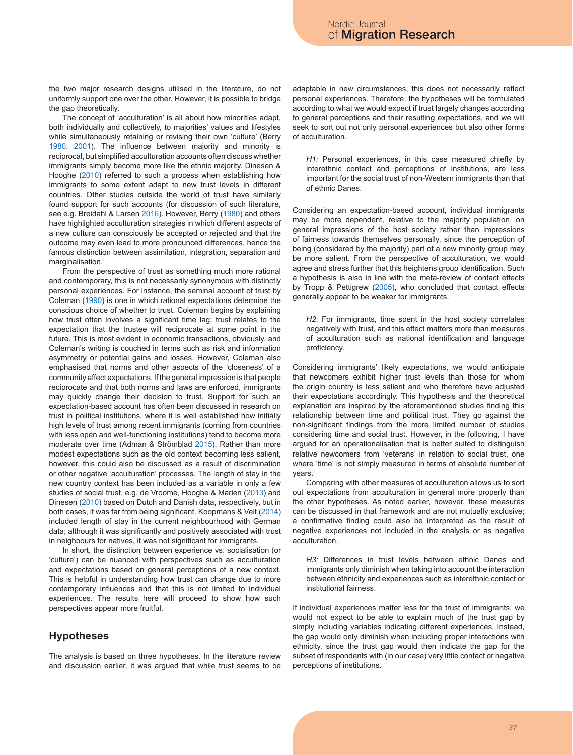the two major research designs utilised in the literature, do not uniformly support one over the other. However, it is possible to bridge the gap theoretically.

The concept of 'acculturation' is all about how minorities adapt, both individually and collectively, to majorities' values and lifestyles while simultaneously retaining or revising their own 'culture' (Berry 1980, 2001). The influence between majority and minority is reciprocal, but simplified acculturation accounts often discuss whether immigrants simply become more like the ethnic majority. Dinesen & Hooghe (2010) referred to such a process when establishing how immigrants to some extent adapt to new trust levels in different countries. Other studies outside the world of trust have similarly found support for such accounts (for discussion of such literature, see e.g. Breidahl & Larsen 2016). However, Berry (1980) and others have highlighted acculturation strategies in which different aspects of a new culture can consciously be accepted or rejected and that the outcome may even lead to more pronounced differences, hence the famous distinction between assimilation, integration, separation and marginalisation.

From the perspective of trust as something much more rational and contemporary, this is not necessarily synonymous with distinctly personal experiences. For instance, the seminal account of trust by Coleman (1990) is one in which rational expectations determine the conscious choice of whether to trust. Coleman begins by explaining how trust often involves a significant time lag; trust relates to the expectation that the trustee will reciprocate at some point in the future. This is most evident in economic transactions, obviously, and Coleman's writing is couched in terms such as risk and information asymmetry or potential gains and losses. However, Coleman also emphasised that norms and other aspects of the 'closeness' of a community affect expectations. If the general impression is that people reciprocate and that both norms and laws are enforced, immigrants may quickly change their decision to trust. Support for such an expectation-based account has often been discussed in research on trust in political institutions, where it is well established how initially high levels of trust among recent immigrants (coming from countries with less open and well-functioning institutions) tend to become more moderate over time (Adman & Strömblad 2015). Rather than more modest expectations such as the old context becoming less salient, however, this could also be discussed as a result of discrimination or other negative 'acculturation' processes. The length of stay in the new country context has been included as a variable in only a few studies of social trust, e.g. de Vroome, Hooghe & Marien (2013) and Dinesen (2010) based on Dutch and Danish data, respectively, but in both cases, it was far from being significant. Koopmans & Veit (2014) included length of stay in the current neighbourhood with German data; although it was significantly and positively associated with trust in neighbours for natives, it was not significant for immigrants.

In short, the distinction between experience vs. socialisation (or 'culture') can be nuanced with perspectives such as acculturation and expectations based on general perceptions of a new context. This is helpful in understanding how trust can change due to more contemporary influences and that this is not limited to individual experiences. The results here will proceed to show how such perspectives appear more fruitful.

#### **Hypotheses**

The analysis is based on three hypotheses. In the literature review and discussion earlier, it was argued that while trust seems to be adaptable in new circumstances, this does not necessarily reflect personal experiences. Therefore, the hypotheses will be formulated according to what we would expect if trust largely changes according to general perceptions and their resulting expectations, and we will seek to sort out not only personal experiences but also other forms of acculturation.

*H1:* Personal experiences, in this case measured chiefly by interethnic contact and perceptions of institutions, are less important for the social trust of non-Western immigrants than that of ethnic Danes.

Considering an expectation-based account, individual immigrants may be more dependent, relative to the majority population, on general impressions of the host society rather than impressions of fairness towards themselves personally, since the perception of being (considered by the majority) part of a new minority group may be more salient. From the perspective of acculturation, we would agree and stress further that this heightens group identification. Such a hypothesis is also in line with the meta-review of contact effects by Tropp & Pettigrew (2005), who concluded that contact effects generally appear to be weaker for immigrants.

*H2*: For immigrants, time spent in the host society correlates negatively with trust, and this effect matters more than measures of acculturation such as national identification and language proficiency.

Considering immigrants' likely expectations, we would anticipate that newcomers exhibit higher trust levels than those for whom the origin country is less salient and who therefore have adjusted their expectations accordingly. This hypothesis and the theoretical explanation are inspired by the aforementioned studies finding this relationship between time and political trust. They go against the non-significant findings from the more limited number of studies considering time and social trust. However, in the following, I have argued for an operationalisation that is better suited to distinguish relative newcomers from 'veterans' in relation to social trust, one where 'time' is not simply measured in terms of absolute number of years.

Comparing with other measures of acculturation allows us to sort out expectations from acculturation in general more properly than the other hypotheses. As noted earlier, however, these measures can be discussed in that framework and are not mutually exclusive; a confirmative finding could also be interpreted as the result of negative experiences not included in the analysis or as negative acculturation.

*H3:* Differences in trust levels between ethnic Danes and immigrants only diminish when taking into account the interaction between ethnicity and experiences such as interethnic contact or institutional fairness.

If individual experiences matter less for the trust of immigrants, we would not expect to be able to explain much of the trust gap by simply including variables indicating different experiences. Instead, the gap would only diminish when including proper interactions with ethnicity, since the trust gap would then indicate the gap for the subset of respondents with (in our case) very little contact or negative perceptions of institutions.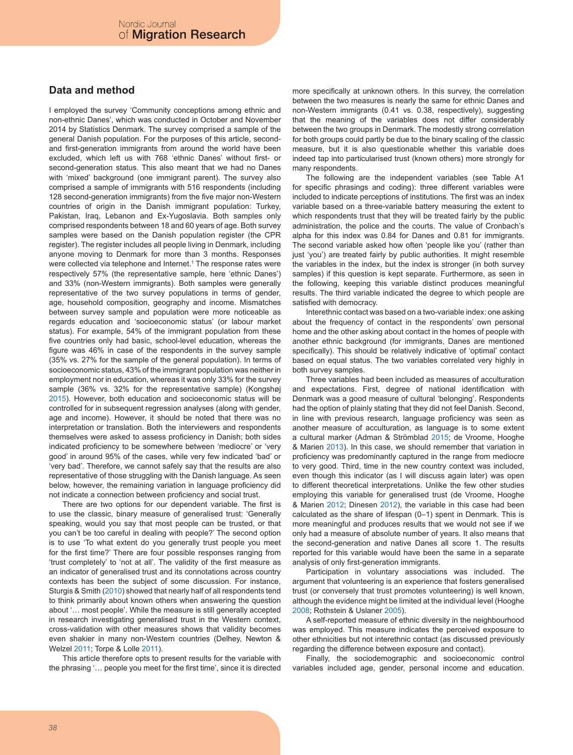### **Data and method**

I employed the survey 'Community conceptions among ethnic and non-ethnic Danes', which was conducted in October and November 2014 by Statistics Denmark. The survey comprised a sample of the general Danish population. For the purposes of this article, secondand first-generation immigrants from around the world have been excluded, which left us with 768 'ethnic Danes' without first- or second-generation status. This also meant that we had no Danes with 'mixed' background (one immigrant parent). The survey also comprised a sample of immigrants with 516 respondents (including 128 second-generation immigrants) from the five major non-Western countries of origin in the Danish immigrant population: Turkey, Pakistan, Iraq, Lebanon and Ex-Yugoslavia. Both samples only comprised respondents between 18 and 60 years of age. Both survey samples were based on the Danish population register (the CPR register). The register includes all people living in Denmark, including anyone moving to Denmark for more than 3 months. Responses were collected via telephone and Internet.<sup>1</sup> The response rates were respectively 57% (the representative sample, here 'ethnic Danes') and 33% (non-Western immigrants). Both samples were generally representative of the two survey populations in terms of gender, age, household composition, geography and income. Mismatches between survey sample and population were more noticeable as regards education and 'socioeconomic status' (or labour market status). For example, 54% of the immigrant population from these five countries only had basic, school-level education, whereas the figure was 46% in case of the respondents in the survey sample (35% vs. 27% for the sample of the general population). In terms of socioeconomic status, 43% of the immigrant population was neither in employment nor in education, whereas it was only 33% for the survey sample (36% vs. 32% for the representative sample) (Kongshøj 2015). However, both education and socioeconomic status will be controlled for in subsequent regression analyses (along with gender, age and income). However, it should be noted that there was no interpretation or translation. Both the interviewers and respondents themselves were asked to assess proficiency in Danish; both sides indicated proficiency to be somewhere between 'mediocre' or 'very good' in around 95% of the cases, while very few indicated 'bad' or 'very bad'. Therefore, we cannot safely say that the results are also representative of those struggling with the Danish language. As seen below, however, the remaining variation in language proficiency did not indicate a connection between proficiency and social trust.

There are two options for our dependent variable. The first is to use the classic, binary measure of generalised trust: 'Generally speaking, would you say that most people can be trusted, or that you can't be too careful in dealing with people?' The second option is to use 'To what extent do you generally trust people you meet for the first time?' There are four possible responses ranging from 'trust completely' to 'not at all'. The validity of the first measure as an indicator of generalised trust and its connotations across country contexts has been the subject of some discussion. For instance, Sturgis & Smith (2010) showed that nearly half of all respondents tend to think primarily about known others when answering the question about '… most people'. While the measure is still generally accepted in research investigating generalised trust in the Western context, cross-validation with other measures shows that validity becomes even shakier in many non-Western countries (Delhey, Newton & Welzel 2011; Torpe & Lolle 2011).

This article therefore opts to present results for the variable with the phrasing '… people you meet for the first time', since it is directed more specifically at unknown others. In this survey, the correlation between the two measures is nearly the same for ethnic Danes and non-Western immigrants (0.41 vs. 0.38, respectively), suggesting that the meaning of the variables does not differ considerably between the two groups in Denmark. The modestly strong correlation for both groups could partly be due to the binary scaling of the classic measure, but it is also questionable whether this variable does indeed tap into particularised trust (known others) more strongly for many respondents.

The following are the independent variables (see Table A1 for specific phrasings and coding): three different variables were included to indicate perceptions of institutions. The first was an index variable based on a three-variable battery measuring the extent to which respondents trust that they will be treated fairly by the public administration, the police and the courts. The value of Cronbach's alpha for this index was 0.84 for Danes and 0.81 for immigrants. The second variable asked how often 'people like you' (rather than just 'you') are treated fairly by public authorities. It might resemble the variables in the index, but the index is stronger (in both survey samples) if this question is kept separate. Furthermore, as seen in the following, keeping this variable distinct produces meaningful results. The third variable indicated the degree to which people are satisfied with democracy.

Interethnic contact was based on a two-variable index: one asking about the frequency of contact in the respondents' own personal home and the other asking about contact in the homes of people with another ethnic background (for immigrants, Danes are mentioned specifically). This should be relatively indicative of 'optimal' contact based on equal status. The two variables correlated very highly in both survey samples.

Three variables had been included as measures of acculturation and expectations. First, degree of national identification with Denmark was a good measure of cultural 'belonging'. Respondents had the option of plainly stating that they did not feel Danish. Second, in line with previous research, language proficiency was seen as another measure of acculturation, as language is to some extent a cultural marker (Adman & Strömblad 2015; de Vroome, Hooghe & Marien 2013). In this case, we should remember that variation in proficiency was predominantly captured in the range from mediocre to very good. Third, time in the new country context was included, even though this indicator (as I will discuss again later) was open to different theoretical interpretations. Unlike the few other studies employing this variable for generalised trust (de Vroome, Hooghe & Marien 2012; Dinesen 2012), the variable in this case had been calculated as the share of lifespan (0–1) spent in Denmark. This is more meaningful and produces results that we would not see if we only had a measure of absolute number of years. It also means that the second-generation and native Danes all score 1. The results reported for this variable would have been the same in a separate analysis of only first-generation immigrants.

Participation in voluntary associations was included. The argument that volunteering is an experience that fosters generalised trust (or conversely that trust promotes volunteering) is well known, although the evidence might be limited at the individual level (Hooghe 2008; Rothstein & Uslaner 2005).

A self-reported measure of ethnic diversity in the neighbourhood was employed. This measure indicates the perceived exposure to other ethnicities but not interethnic contact (as discussed previously regarding the difference between exposure and contact).

Finally, the sociodemographic and socioeconomic control variables included age, gender, personal income and education.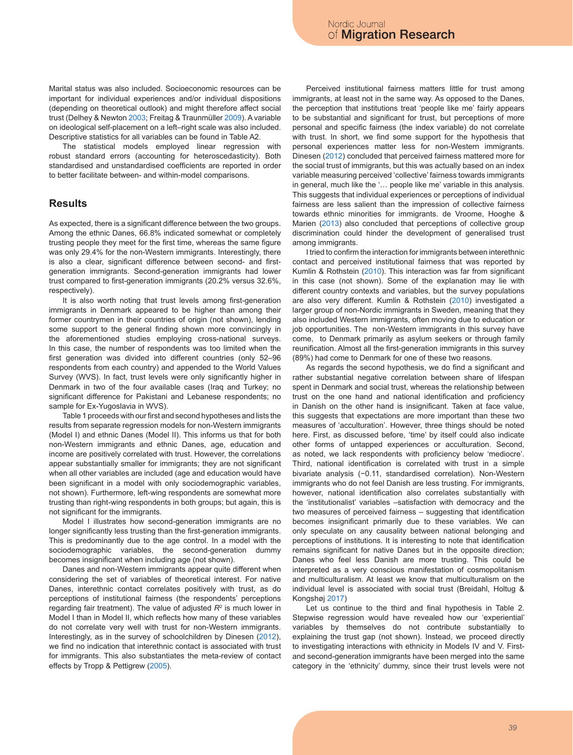Marital status was also included. Socioeconomic resources can be important for individual experiences and/or individual dispositions (depending on theoretical outlook) and might therefore affect social trust (Delhey & Newton 2003; Freitag & Traunmüller 2009). A variable on ideological self-placement on a left–right scale was also included. Descriptive statistics for all variables can be found in Table A2.

The statistical models employed linear regression with robust standard errors (accounting for heteroscedasticity). Both standardised and unstandardised coefficients are reported in order to better facilitate between- and within-model comparisons.

#### **Results**

As expected, there is a significant difference between the two groups. Among the ethnic Danes, 66.8% indicated somewhat or completely trusting people they meet for the first time, whereas the same figure was only 29.4% for the non-Western immigrants. Interestingly, there is also a clear, significant difference between second- and firstgeneration immigrants. Second-generation immigrants had lower trust compared to first-generation immigrants (20.2% versus 32.6%, respectively).

It is also worth noting that trust levels among first-generation immigrants in Denmark appeared to be higher than among their former countrymen in their countries of origin (not shown), lending some support to the general finding shown more convincingly in the aforementioned studies employing cross-national surveys. In this case, the number of respondents was too limited when the first generation was divided into different countries (only 52–96 respondents from each country) and appended to the World Values Survey (WVS). In fact, trust levels were only significantly higher in Denmark in two of the four available cases (Iraq and Turkey; no significant difference for Pakistani and Lebanese respondents; no sample for Ex-Yugoslavia in WVS).

Table 1 proceeds with our first and second hypotheses and lists the results from separate regression models for non-Western immigrants (Model I) and ethnic Danes (Model II). This informs us that for both non-Western immigrants and ethnic Danes, age, education and income are positively correlated with trust. However, the correlations appear substantially smaller for immigrants; they are not significant when all other variables are included (age and education would have been significant in a model with only sociodemographic variables, not shown). Furthermore, left-wing respondents are somewhat more trusting than right-wing respondents in both groups; but again, this is not significant for the immigrants.

Model I illustrates how second-generation immigrants are no longer significantly less trusting than the first-generation immigrants. This is predominantly due to the age control. In a model with the sociodemographic variables, the second-generation dummy becomes insignificant when including age (not shown).

Danes and non-Western immigrants appear quite different when considering the set of variables of theoretical interest. For native Danes, interethnic contact correlates positively with trust, as do perceptions of institutional fairness (the respondents' perceptions regarding fair treatment). The value of adjusted *R*<sup>2</sup> is much lower in Model I than in Model II, which reflects how many of these variables do not correlate very well with trust for non-Western immigrants. Interestingly, as in the survey of schoolchildren by Dinesen (2012), we find no indication that interethnic contact is associated with trust for immigrants. This also substantiates the meta-review of contact effects by Tropp & Pettigrew (2005).

Perceived institutional fairness matters little for trust among immigrants, at least not in the same way. As opposed to the Danes, the perception that institutions treat 'people like me' fairly appears to be substantial and significant for trust, but perceptions of more personal and specific fairness (the index variable) do not correlate with trust. In short, we find some support for the hypothesis that personal experiences matter less for non-Western immigrants. Dinesen (2012) concluded that perceived fairness mattered more for the social trust of immigrants, but this was actually based on an index variable measuring perceived 'collective' fairness towards immigrants in general, much like the '… people like me' variable in this analysis. This suggests that individual experiences or perceptions of individual fairness are less salient than the impression of collective fairness towards ethnic minorities for immigrants. de Vroome, Hooghe & Marien (2013) also concluded that perceptions of collective group discrimination could hinder the development of generalised trust among immigrants.

I tried to confirm the interaction for immigrants between interethnic contact and perceived institutional fairness that was reported by Kumlin & Rothstein (2010). This interaction was far from significant in this case (not shown). Some of the explanation may lie with different country contexts and variables, but the survey populations are also very different. Kumlin & Rothstein (2010) investigated a larger group of non-Nordic immigrants in Sweden, meaning that they also included Western immigrants, often moving due to education or job opportunities. The non-Western immigrants in this survey have come, to Denmark primarily as asylum seekers or through family reunification. Almost all the first-generation immigrants in this survey (89%) had come to Denmark for one of these two reasons.

As regards the second hypothesis, we do find a significant and rather substantial negative correlation between share of lifespan spent in Denmark and social trust, whereas the relationship between trust on the one hand and national identification and proficiency in Danish on the other hand is insignificant. Taken at face value, this suggests that expectations are more important than these two measures of 'acculturation'. However, three things should be noted here. First, as discussed before, 'time' by itself could also indicate other forms of untapped experiences or acculturation. Second, as noted, we lack respondents with proficiency below 'mediocre'. Third, national identification is correlated with trust in a simple bivariate analysis (−0.11, standardised correlation). Non-Western immigrants who do not feel Danish are less trusting. For immigrants, however, national identification also correlates substantially with the 'institutionalist' variables –satisfaction with democracy and the two measures of perceived fairness – suggesting that identification becomes insignificant primarily due to these variables. We can only speculate on any causality between national belonging and perceptions of institutions. It is interesting to note that identification remains significant for native Danes but in the opposite direction; Danes who feel less Danish are more trusting. This could be interpreted as a very conscious manifestation of cosmopolitanism and multiculturalism. At least we know that multiculturalism on the individual level is associated with social trust (Breidahl, Holtug & Kongshøj 2017)

Let us continue to the third and final hypothesis in Table 2. Stepwise regression would have revealed how our 'experiential' variables by themselves do not contribute substantially to explaining the trust gap (not shown). Instead, we proceed directly to investigating interactions with ethnicity in Models IV and V. Firstand second-generation immigrants have been merged into the same category in the 'ethnicity' dummy, since their trust levels were not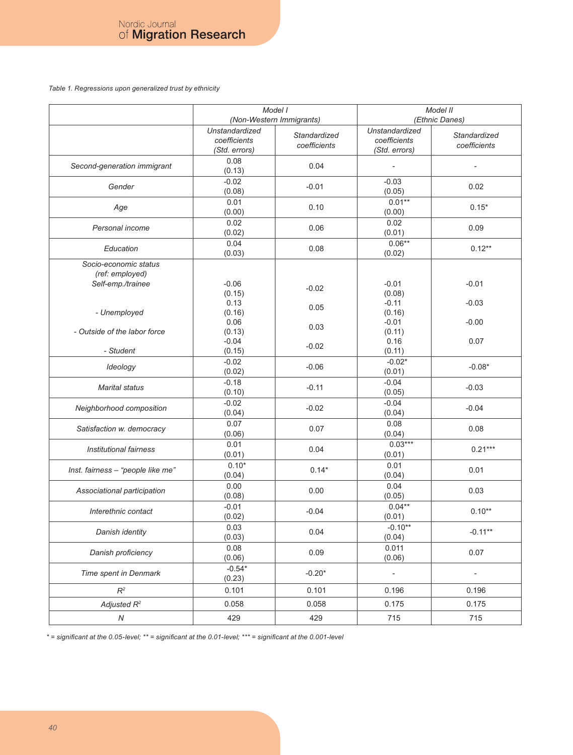*Table 1. Regressions upon generalized trust by ethnicity* 

|                                                               | Model I<br>(Non-Western Immigrants)             |                              | Model II<br>(Ethnic Danes)                      |                              |
|---------------------------------------------------------------|-------------------------------------------------|------------------------------|-------------------------------------------------|------------------------------|
|                                                               | Unstandardized<br>coefficients<br>(Std. errors) | Standardized<br>coefficients | Unstandardized<br>coefficients<br>(Std. errors) | Standardized<br>coefficients |
| Second-generation immigrant                                   | 0.08<br>(0.13)                                  | 0.04                         |                                                 |                              |
| Gender                                                        | $-0.02$<br>(0.08)                               | $-0.01$                      | $-0.03$<br>(0.05)                               | 0.02                         |
| Age                                                           | 0.01<br>(0.00)                                  | 0.10                         | $0.01**$<br>(0.00)                              | $0.15*$                      |
| Personal income                                               | 0.02<br>(0.02)                                  | 0.06                         | 0.02<br>(0.01)                                  | 0.09                         |
| Education                                                     | 0.04<br>(0.03)                                  | 0.08                         | $0.06**$<br>(0.02)                              | $0.12**$                     |
| Socio-economic status<br>(ref: employed)<br>Self-emp./trainee | $-0.06$<br>(0.15)<br>0.13                       | $-0.02$                      | $-0.01$<br>(0.08)<br>$-0.11$                    | $-0.01$<br>$-0.03$           |
| - Unemployed                                                  | (0.16)<br>0.06                                  | 0.05<br>0.03                 | (0.16)<br>$-0.01$                               | $-0.00$                      |
| - Outside of the labor force<br>- Student                     | (0.13)<br>$-0.04$<br>(0.15)                     | $-0.02$                      | (0.11)<br>0.16<br>(0.11)                        | 0.07                         |
| Ideology                                                      | $-0.02$<br>(0.02)                               | $-0.06$                      | $-0.02*$<br>(0.01)                              | $-0.08*$                     |
| <b>Marital status</b>                                         | $-0.18$<br>(0.10)                               | $-0.11$                      | $-0.04$<br>(0.05)                               | $-0.03$                      |
| Neighborhood composition                                      | $-0.02$<br>(0.04)                               | $-0.02$                      | $-0.04$<br>(0.04)                               | $-0.04$                      |
| Satisfaction w. democracy                                     | 0.07<br>(0.06)                                  | 0.07                         | 0.08<br>(0.04)                                  | 0.08                         |
| <b>Institutional fairness</b>                                 | 0.01<br>(0.01)                                  | 0.04                         | $0.03***$<br>(0.01)                             | $0.21***$                    |
| Inst. fairness - "people like me"                             | $0.10*$<br>(0.04)                               | $0.14*$                      | 0.01<br>(0.04)                                  | 0.01                         |
| Associational participation                                   | 0.00<br>(0.08)                                  | 0.00                         | 0.04<br>(0.05)                                  | 0.03                         |
| Interethnic contact                                           | $-0.01$<br>(0.02)                               | $-0.04$                      | $0.04**$<br>(0.01)                              | $0.10**$                     |
| Danish identity                                               | 0.03<br>(0.03)                                  | 0.04                         | $-0.10**$<br>(0.04)                             | $-0.11**$                    |
| Danish proficiency                                            | 0.08<br>(0.06)                                  | 0.09                         | 0.011<br>(0.06)                                 | 0.07                         |
| Time spent in Denmark                                         | $-0.54*$<br>(0.23)                              | $-0.20*$                     | $\overline{\phantom{m}}$                        | $\overline{a}$               |
| $R^2$                                                         | 0.101                                           | 0.101                        | 0.196                                           | 0.196                        |
| Adjusted $R^2$                                                | 0.058                                           | 0.058                        | 0.175                                           | 0.175                        |
| ${\cal N}$                                                    | 429                                             | 429                          | 715                                             | 715                          |

*\* = significant at the 0.05-level; \*\* = significant at the 0.01-level; \*\*\* = significant at the 0.001-level*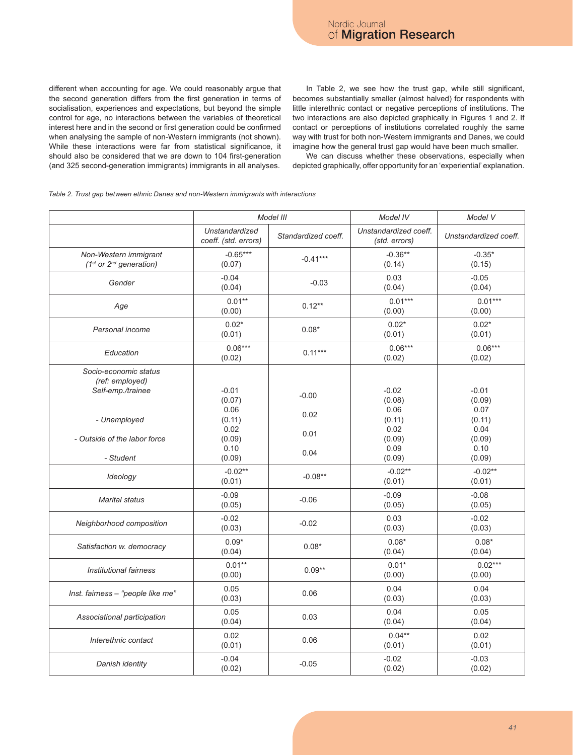different when accounting for age. We could reasonably argue that the second generation differs from the first generation in terms of socialisation, experiences and expectations, but beyond the simple control for age, no interactions between the variables of theoretical interest here and in the second or first generation could be confirmed when analysing the sample of non-Western immigrants (not shown). While these interactions were far from statistical significance, it should also be considered that we are down to 104 first-generation (and 325 second-generation immigrants) immigrants in all analyses.

In Table 2, we see how the trust gap, while still significant, becomes substantially smaller (almost halved) for respondents with little interethnic contact or negative perceptions of institutions. The two interactions are also depicted graphically in Figures 1 and 2. If contact or perceptions of institutions correlated roughly the same way with trust for both non-Western immigrants and Danes, we could imagine how the general trust gap would have been much smaller.

We can discuss whether these observations, especially when depicted graphically, offer opportunity for an 'experiential' explanation.

#### *Table 2. Trust gap between ethnic Danes and non-Western immigrants with interactions*

|                                                               | Model III                              |                     | Model IV                               | Model V                   |
|---------------------------------------------------------------|----------------------------------------|---------------------|----------------------------------------|---------------------------|
|                                                               | Unstandardized<br>coeff. (std. errors) | Standardized coeff. | Unstandardized coeff.<br>(std. errors) | Unstandardized coeff.     |
| Non-Western immigrant<br>$(1st or 2nd generation)$            | $-0.65***$<br>(0.07)                   | $-0.41***$          | $-0.36**$<br>(0.14)                    | $-0.35*$<br>(0.15)        |
| Gender                                                        | $-0.04$<br>(0.04)                      | $-0.03$             | 0.03<br>(0.04)                         | $-0.05$<br>(0.04)         |
| Age                                                           | $0.01**$<br>(0.00)                     | $0.12**$            | $0.01***$<br>(0.00)                    | $0.01***$<br>(0.00)       |
| Personal income                                               | $0.02*$<br>(0.01)                      | $0.08*$             | $0.02*$<br>(0.01)                      | $0.02*$<br>(0.01)         |
| Education                                                     | $0.06***$<br>(0.02)                    | $0.11***$           | $0.06***$<br>(0.02)                    | $0.06***$<br>(0.02)       |
| Socio-economic status<br>(ref: employed)<br>Self-emp./trainee | $-0.01$<br>(0.07)<br>0.06              | $-0.00$             | $-0.02$<br>(0.08)<br>0.06              | $-0.01$<br>(0.09)<br>0.07 |
| - Unemployed                                                  | (0.11)<br>0.02                         | 0.02                | (0.11)<br>0.02                         | (0.11)<br>0.04            |
| - Outside of the labor force<br>- Student                     | (0.09)<br>0.10<br>(0.09)               | 0.01<br>0.04        | (0.09)<br>0.09<br>(0.09)               | (0.09)<br>0.10<br>(0.09)  |
| Ideology                                                      | $-0.02**$<br>(0.01)                    | $-0.08**$           | $-0.02**$<br>(0.01)                    | $-0.02**$<br>(0.01)       |
| <b>Marital status</b>                                         | $-0.09$<br>(0.05)                      | $-0.06$             | $-0.09$<br>(0.05)                      | $-0.08$<br>(0.05)         |
| Neighborhood composition                                      | $-0.02$<br>(0.03)                      | $-0.02$             | 0.03<br>(0.03)                         | $-0.02$<br>(0.03)         |
| Satisfaction w. democracy                                     | $0.09*$<br>(0.04)                      | $0.08*$             | $0.08*$<br>(0.04)                      | $0.08*$<br>(0.04)         |
| Institutional fairness                                        | $0.01**$<br>(0.00)                     | $0.09**$            | $0.01*$<br>(0.00)                      | $0.02***$<br>(0.00)       |
| Inst. fairness - "people like me"                             | 0.05<br>(0.03)                         | 0.06                | 0.04<br>(0.03)                         | 0.04<br>(0.03)            |
| Associational participation                                   | 0.05<br>(0.04)                         | 0.03                | 0.04<br>(0.04)                         | 0.05<br>(0.04)            |
| Interethnic contact                                           | 0.02<br>(0.01)                         | 0.06                | $0.04**$<br>(0.01)                     | 0.02<br>(0.01)            |
| Danish identity                                               | $-0.04$<br>(0.02)                      | $-0.05$             | $-0.02$<br>(0.02)                      | $-0.03$<br>(0.02)         |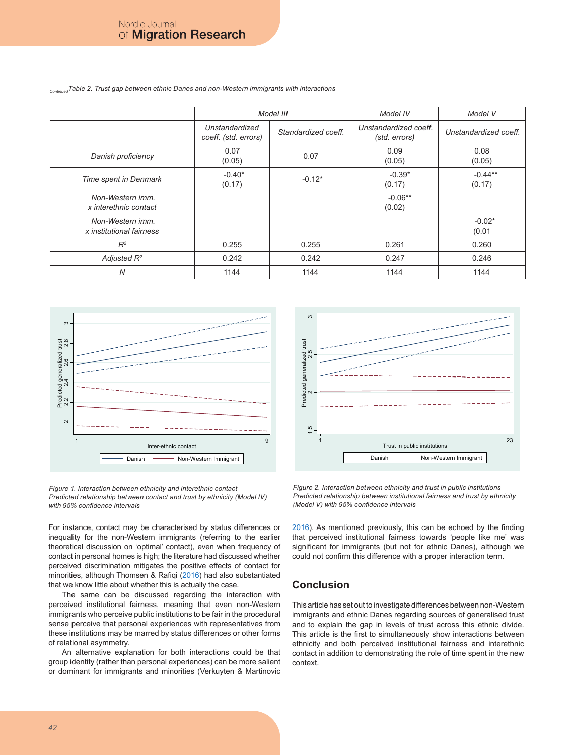*ContinuedTable 2. Trust gap between ethnic Danes and non-Western immigrants with interactions*

|                                              | Model III                              |                     | Model IV                               | Model V               |
|----------------------------------------------|----------------------------------------|---------------------|----------------------------------------|-----------------------|
|                                              | Unstandardized<br>coeff. (std. errors) | Standardized coeff. | Unstandardized coeff.<br>(std. errors) | Unstandardized coeff. |
| Danish proficiency                           | 0.07<br>(0.05)                         | 0.07                | 0.09<br>(0.05)                         | 0.08<br>(0.05)        |
| Time spent in Denmark                        | $-0.40*$<br>(0.17)                     | $-0.12*$            | $-0.39*$<br>(0.17)                     | $-0.44**$<br>(0.17)   |
| Non-Western imm.<br>x interethnic contact    |                                        |                     | $-0.06**$<br>(0.02)                    |                       |
| Non-Western imm.<br>x institutional fairness |                                        |                     |                                        | $-0.02*$<br>(0.01)    |
| $R^2$                                        | 0.255                                  | 0.255               | 0.261                                  | 0.260                 |
| Adjusted $R^2$                               | 0.242                                  | 0.242               | 0.247                                  | 0.246                 |
| N                                            | 1144                                   | 1144                | 1144                                   | 1144                  |



*Figure 1. Interaction between ethnicity and interethnic contact Predicted relationship between contact and trust by ethnicity (Model IV) with 95% confidence intervals*

For instance, contact may be characterised by status differences or inequality for the non-Western immigrants (referring to the earlier theoretical discussion on 'optimal' contact), even when frequency of contact in personal homes is high; the literature had discussed whether perceived discrimination mitigates the positive effects of contact for minorities, although Thomsen & Rafiqi (2016) had also substantiated that we know little about whether this is actually the case.

The same can be discussed regarding the interaction with perceived institutional fairness, meaning that even non-Western immigrants who perceive public institutions to be fair in the procedural sense perceive that personal experiences with representatives from these institutions may be marred by status differences or other forms of relational asymmetry.

An alternative explanation for both interactions could be that group identity (rather than personal experiences) can be more salient or dominant for immigrants and minorities (Verkuyten & Martinovic



*Figure 2. Interaction between ethnicity and trust in public institutions Predicted relationship between institutional fairness and trust by ethnicity (Model V) with 95% confidence intervals*

2016). As mentioned previously, this can be echoed by the finding that perceived institutional fairness towards 'people like me' was significant for immigrants (but not for ethnic Danes), although we could not confirm this difference with a proper interaction term.

#### **Conclusion**

This article has set out to investigate differences between non-Western immigrants and ethnic Danes regarding sources of generalised trust and to explain the gap in levels of trust across this ethnic divide. This article is the first to simultaneously show interactions between ethnicity and both perceived institutional fairness and interethnic contact in addition to demonstrating the role of time spent in the new context.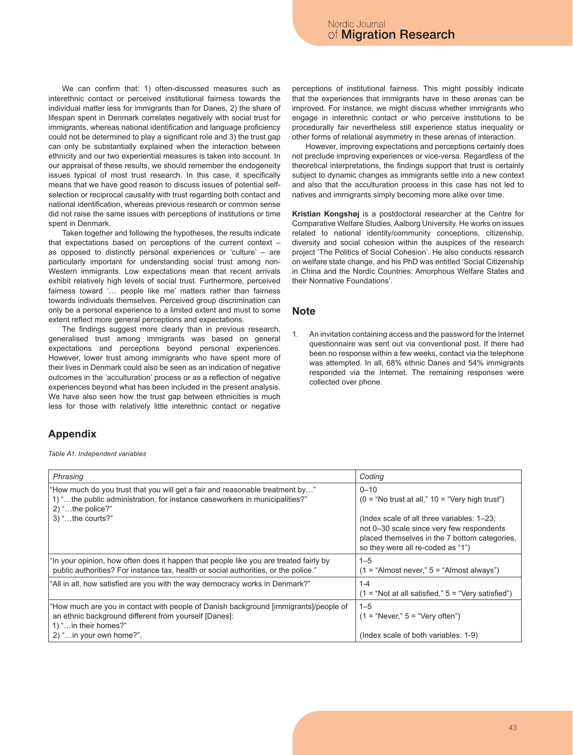We can confirm that: 1) often-discussed measures such as interethnic contact or perceived institutional fairness towards the individual matter less for immigrants than for Danes, 2) the share of lifespan spent in Denmark correlates negatively with social trust for immigrants, whereas national identification and language proficiency could not be determined to play a significant role and 3) the trust gap can only be substantially explained when the interaction between ethnicity and our two experiential measures is taken into account. In our appraisal of these results, we should remember the endogeneity issues typical of most trust research. In this case, it specifically means that we have good reason to discuss issues of potential selfselection or reciprocal causality with trust regarding both contact and national identification, whereas previous research or common sense did not raise the same issues with perceptions of institutions or time spent in Denmark.

Taken together and following the hypotheses, the results indicate that expectations based on perceptions of the current context – as opposed to distinctly personal experiences or 'culture' – are particularly important for understanding social trust among non-Western immigrants. Low expectations mean that recent arrivals exhibit relatively high levels of social trust. Furthermore, perceived fairness toward '… people like me' matters rather than fairness towards individuals themselves. Perceived group discrimination can only be a personal experience to a limited extent and must to some extent reflect more general perceptions and expectations.

The findings suggest more clearly than in previous research, generalised trust among immigrants was based on general expectations and perceptions beyond personal experiences. However, lower trust among immigrants who have spent more of their lives in Denmark could also be seen as an indication of negative outcomes in the 'acculturation' process or as a reflection of negative experiences beyond what has been included in the present analysis. We have also seen how the trust gap between ethnicities is much less for those with relatively little interethnic contact or negative

perceptions of institutional fairness. This might possibly indicate that the experiences that immigrants have in these arenas can be improved. For instance, we might discuss whether immigrants who engage in interethnic contact or who perceive institutions to be procedurally fair nevertheless still experience status inequality or other forms of relational asymmetry in these arenas of interaction.

However, improving expectations and perceptions certainly does not preclude improving experiences or vice-versa. Regardless of the theoretical interpretations, the findings support that trust is certainly subject to dynamic changes as immigrants settle into a new context and also that the acculturation process in this case has not led to natives and immigrants simply becoming more alike over time.

**Kristian Kongshøj** is a postdoctoral researcher at the Centre for Comparative Welfare Studies, Aalborg University. He works on issues related to national identity/community conceptions, citizenship, diversity and social cohesion within the auspices of the research project 'The Politics of Social Cohesion'. He also conducts research on welfare state change, and his PhD was entitled 'Social Citizenship in China and the Nordic Countries: Amorphous Welfare States and their Normative Foundations'.

#### **Note**

An invitation containing access and the password for the Internet questionnaire was sent out via conventional post. If there had been no response within a few weeks, contact via the telephone was attempted. In all, 68% ethnic Danes and 54% immigrants responded via the Internet. The remaining responses were collected over phone.

### **Appendix**

*Table A1. Independent variables*

| Phrasing                                                                                                                                                                                           | Coding                                                                                                                                                                        |
|----------------------------------------------------------------------------------------------------------------------------------------------------------------------------------------------------|-------------------------------------------------------------------------------------------------------------------------------------------------------------------------------|
| "How much do you trust that you will get a fair and reasonable treatment by"<br>1) "the public administration, for instance caseworkers in municipalities?"<br>$2)$ "the police?"                  | $0 - 10$<br>$(0 = "No trust at all." 10 = "Very high trust")$                                                                                                                 |
| $3)$ "the courts?"                                                                                                                                                                                 | (Index scale of all three variables: 1-23;<br>not 0–30 scale since very few respondents<br>placed themselves in the 7 bottom categories.<br>so they were all re-coded as "1") |
| "In your opinion, how often does it happen that people like you are treated fairly by<br>public authorities? For instance tax, health or social authorities, or the police."                       | $1 - 5$<br>$(1 = "Almost never," 5 = "Almost always")$                                                                                                                        |
| "All in all, how satisfied are you with the way democracy works in Denmark?"                                                                                                                       | $1 - 4$<br>$(1 = "Not at all satisfied." 5 = "Very satisfied")$                                                                                                               |
| "How much are you in contact with people of Danish background [immigrants]/people of<br>an ethnic background different from yourself [Danes]:<br>1) " in their homes?"<br>2) " in your own home?". | $1 - 5$<br>$(1 = "Never." 5 = "Very often")$<br>(Index scale of both variables: 1-9)                                                                                          |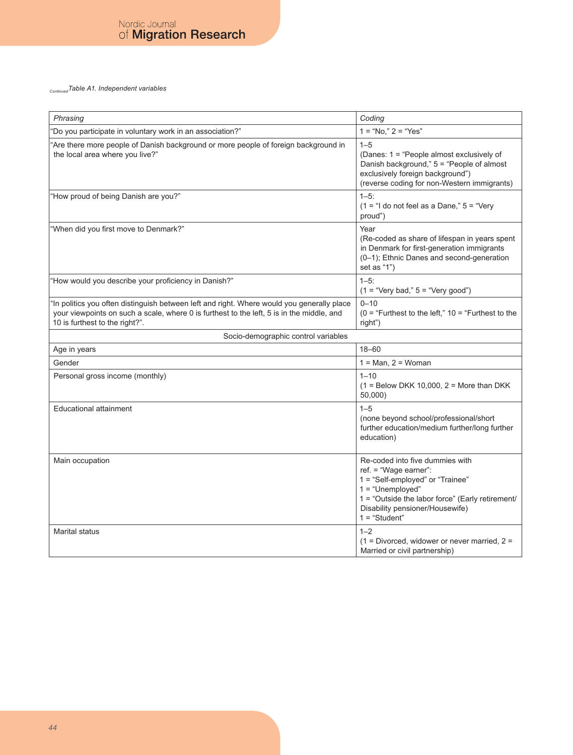*ContinuedTable A1. Independent variables*

| Phrasing                                                                                                                                                                                                                  | Coding                                                                                                                                                                                                                       |  |  |
|---------------------------------------------------------------------------------------------------------------------------------------------------------------------------------------------------------------------------|------------------------------------------------------------------------------------------------------------------------------------------------------------------------------------------------------------------------------|--|--|
| 'Do you participate in voluntary work in an association?"                                                                                                                                                                 | $1 = "No," 2 = "Yes"$                                                                                                                                                                                                        |  |  |
| Are there more people of Danish background or more people of foreign background in<br>the local area where you live?"                                                                                                     | $1 - 5$<br>(Danes: 1 = "People almost exclusively of<br>Danish background," 5 = "People of almost<br>exclusively foreign background")<br>(reverse coding for non-Western immigrants)                                         |  |  |
| "How proud of being Danish are you?"                                                                                                                                                                                      | $1 - 5$ :<br>$(1 = "I do not feel as a Dame," 5 = "Very$<br>proud")                                                                                                                                                          |  |  |
| "When did you first move to Denmark?"                                                                                                                                                                                     | Year<br>(Re-coded as share of lifespan in years spent<br>in Denmark for first-generation immigrants<br>(0-1); Ethnic Danes and second-generation<br>set as "1")                                                              |  |  |
| 'How would you describe your proficiency in Danish?"                                                                                                                                                                      | $1 - 5$ :<br>$(1 = "Very bad," 5 = "Very good")$                                                                                                                                                                             |  |  |
| 'In politics you often distinguish between left and right. Where would you generally place<br>your viewpoints on such a scale, where 0 is furthest to the left, 5 is in the middle, and<br>10 is furthest to the right?". | $0 - 10$<br>$(0 =$ "Furthest to the left," $10 =$ "Furthest to the<br>right")                                                                                                                                                |  |  |
| Socio-demographic control variables                                                                                                                                                                                       |                                                                                                                                                                                                                              |  |  |
| Age in years                                                                                                                                                                                                              | $18 - 60$                                                                                                                                                                                                                    |  |  |
| Gender                                                                                                                                                                                                                    | $1 = Man, 2 = Woman$                                                                                                                                                                                                         |  |  |
| Personal gross income (monthly)                                                                                                                                                                                           | $1 - 10$<br>$(1 =$ Below DKK 10,000, 2 = More than DKK<br>50,000                                                                                                                                                             |  |  |
| <b>Educational attainment</b>                                                                                                                                                                                             | $1 - 5$<br>(none beyond school/professional/short<br>further education/medium further/long further<br>education)                                                                                                             |  |  |
| Main occupation                                                                                                                                                                                                           | Re-coded into five dummies with<br>ref. = "Wage earner":<br>1 = "Self-employed" or "Trainee"<br>$1 = "Unemployed"$<br>1 = "Outside the labor force" (Early retirement/<br>Disability pensioner/Housewife)<br>$1 = "Student"$ |  |  |
| <b>Marital status</b>                                                                                                                                                                                                     | $1 - 2$<br>$(1 = Divored, widower or never married, 2 =$<br>Married or civil partnership)                                                                                                                                    |  |  |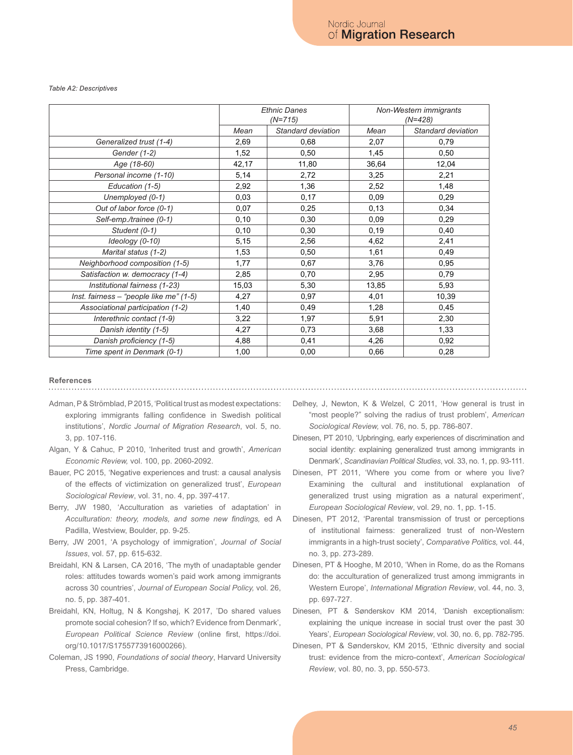#### *Table A2: Descriptives*

|                                         | <b>Ethnic Danes</b><br>$(N=715)$ |                    | Non-Western immigrants<br>$(N=428)$ |                    |
|-----------------------------------------|----------------------------------|--------------------|-------------------------------------|--------------------|
|                                         | Mean                             | Standard deviation | Mean                                | Standard deviation |
| Generalized trust (1-4)                 | 2,69                             | 0,68               | 2,07                                | 0,79               |
| Gender (1-2)                            | 1,52                             | 0,50               | 1,45                                | 0,50               |
| Age (18-60)                             | 42,17                            | 11,80              | 36,64                               | 12,04              |
| Personal income (1-10)                  | 5,14                             | 2,72               | 3,25                                | 2,21               |
| Education (1-5)                         | 2,92                             | 1,36               | 2,52                                | 1,48               |
| Unemployed (0-1)                        | 0,03                             | 0,17               | 0,09                                | 0,29               |
| Out of labor force (0-1)                | 0,07                             | 0,25               | 0,13                                | 0,34               |
| Self-emp./trainee (0-1)                 | 0, 10                            | 0,30               | 0,09                                | 0,29               |
| Student (0-1)                           | 0, 10                            | 0,30               | 0,19                                | 0,40               |
| Ideology (0-10)                         | 5,15                             | 2,56               | 4,62                                | 2,41               |
| Marital status (1-2)                    | 1,53                             | 0,50               | 1,61                                | 0,49               |
| Neighborhood composition (1-5)          | 1,77                             | 0,67               | 3,76                                | 0,95               |
| Satisfaction w. democracy (1-4)         | 2,85                             | 0,70               | 2,95                                | 0,79               |
| Institutional fairness (1-23)           | 15,03                            | 5,30               | 13,85                               | 5,93               |
| Inst. fairness - "people like me" (1-5) | 4,27                             | 0,97               | 4,01                                | 10,39              |
| Associational participation (1-2)       | 1,40                             | 0,49               | 1,28                                | 0,45               |
| Interethnic contact (1-9)               | 3,22                             | 1,97               | 5,91                                | 2,30               |
| Danish identity (1-5)                   | 4,27                             | 0,73               | 3,68                                | 1,33               |
| Danish proficiency (1-5)                | 4,88                             | 0,41               | 4,26                                | 0,92               |
| Time spent in Denmark (0-1)             | 1,00                             | 0,00               | 0,66                                | 0,28               |

## **References**

- Adman, P & Strömblad, P 2015, 'Political trust as modest expectations: exploring immigrants falling confidence in Swedish political institutions', *Nordic Journal of Migration Research*, vol. 5, no. 3, pp. 107-116.
- Algan, Y & Cahuc, P 2010, 'Inherited trust and growth', *American Economic Review,* vol. 100, pp. 2060-2092.
- Bauer, PC 2015, 'Negative experiences and trust: a causal analysis of the effects of victimization on generalized trust', *European Sociological Review*, vol. 31, no. 4, pp. 397-417.
- Berry, JW 1980, 'Acculturation as varieties of adaptation' in *Acculturation: theory, models, and some new findings,* ed A Padilla, Westview, Boulder, pp. 9-25.
- Berry, JW 2001, 'A psychology of immigration', *Journal of Social Issues*, vol. 57, pp. 615-632.
- Breidahl, KN & Larsen, CA 2016, 'The myth of unadaptable gender roles: attitudes towards women's paid work among immigrants across 30 countries', *Journal of European Social Policy,* vol. 26, no. 5, pp. 387-401.
- Breidahl, KN, Holtug, N & Kongshøj, K 2017, 'Do shared values promote social cohesion? If so, which? Evidence from Denmark', *European Political Science Review* (online first, https://doi. org/10.1017/S1755773916000266).
- Coleman, JS 1990, *Foundations of social theory*, Harvard University Press, Cambridge.
- Delhey, J, Newton, K & Welzel, C 2011, 'How general is trust in "most people?" solving the radius of trust problem', *American Sociological Review,* vol. 76, no. 5, pp. 786-807.
- Dinesen, PT 2010, 'Upbringing, early experiences of discrimination and social identity: explaining generalized trust among immigrants in Denmark', *Scandinavian Political Studies*, vol. 33, no. 1, pp. 93-111.
- Dinesen, PT 2011, 'Where you come from or where you live? Examining the cultural and institutional explanation of generalized trust using migration as a natural experiment', *European Sociological Review*, vol. 29, no. 1, pp. 1-15.
- Dinesen, PT 2012, 'Parental transmission of trust or perceptions of institutional fairness: generalized trust of non-Western immigrants in a high-trust society', *Comparative Politics,* vol. 44, no. 3, pp. 273-289.
- Dinesen, PT & Hooghe, M 2010, 'When in Rome, do as the Romans do: the acculturation of generalized trust among immigrants in Western Europe', *International Migration Review*, vol. 44, no. 3, pp. 697-727.
- Dinesen, PT & Sønderskov KM 2014, 'Danish exceptionalism: explaining the unique increase in social trust over the past 30 Years', *European Sociological Review*, vol. 30, no. 6, pp. 782-795.
- Dinesen, PT & Sønderskov, KM 2015, 'Ethnic diversity and social trust: evidence from the micro-context', *American Sociological Review*, vol. 80, no. 3, pp. 550-573.